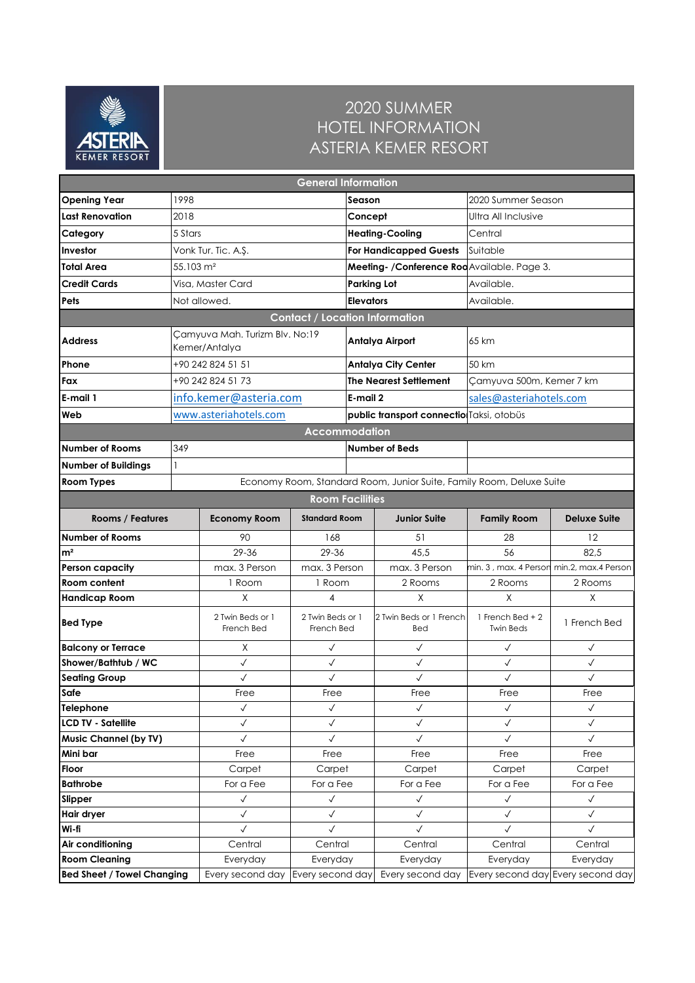

## 2020 SUMMER HOTEL INFORMATION ASTERIA KEMER RESORT

| <b>General Information</b>               |                                                 |                                |                                |                                              |                                                                      |                                              |                                   |  |  |  |
|------------------------------------------|-------------------------------------------------|--------------------------------|--------------------------------|----------------------------------------------|----------------------------------------------------------------------|----------------------------------------------|-----------------------------------|--|--|--|
| <b>Opening Year</b>                      | 1998                                            |                                |                                | Season                                       |                                                                      | 2020 Summer Season                           |                                   |  |  |  |
| Last Renovation                          | 2018                                            |                                |                                | Concept                                      |                                                                      | Ultra All Inclusive                          |                                   |  |  |  |
| Category                                 | 5 Stars                                         |                                |                                |                                              | <b>Heating-Cooling</b>                                               | Central                                      |                                   |  |  |  |
| Investor                                 |                                                 | Vonk Tur. Tic. A.Ş.            |                                |                                              | <b>For Handicapped Guests</b>                                        | Suitable                                     |                                   |  |  |  |
| Total Area                               | 55.103 m <sup>2</sup>                           |                                |                                | Meeting- / Conference Rod Available. Page 3. |                                                                      |                                              |                                   |  |  |  |
| <b>Credit Cards</b>                      |                                                 | Visa, Master Card              |                                |                                              | <b>Parking Lot</b><br>Available.                                     |                                              |                                   |  |  |  |
| Pets                                     | Not allowed.                                    |                                |                                |                                              | <b>Elevators</b><br>Available.                                       |                                              |                                   |  |  |  |
| <b>Contact / Location Information</b>    |                                                 |                                |                                |                                              |                                                                      |                                              |                                   |  |  |  |
| <b>Address</b>                           | Camyuva Mah. Turizm Blv. No:19<br>Kemer/Antalya |                                |                                |                                              | Antalya Airport                                                      | 65 km                                        |                                   |  |  |  |
| Phone                                    |                                                 | +90 242 824 51 51              |                                |                                              | <b>Antalya City Center</b>                                           | 50 km                                        |                                   |  |  |  |
| Fax                                      |                                                 | +90 242 824 51 73              |                                |                                              | <b>The Nearest Settlement</b>                                        | Camyuva 500m, Kemer 7 km                     |                                   |  |  |  |
| E-mail 1                                 |                                                 | info.kemer@asteria.com         |                                |                                              | E-mail 2                                                             | sales@asteriahotels.com                      |                                   |  |  |  |
| Web                                      |                                                 | www.asteriahotels.com          |                                |                                              |                                                                      | public transport connectio Taksi, otobüs     |                                   |  |  |  |
|                                          |                                                 |                                | <b>Accommodation</b>           |                                              |                                                                      |                                              |                                   |  |  |  |
| <b>Number of Rooms</b>                   | 349                                             |                                |                                |                                              | <b>Number of Beds</b>                                                |                                              |                                   |  |  |  |
| <b>Number of Buildings</b>               | 1                                               |                                |                                |                                              |                                                                      |                                              |                                   |  |  |  |
| <b>Room Types</b>                        |                                                 |                                |                                |                                              | Economy Room, Standard Room, Junior Suite, Family Room, Deluxe Suite |                                              |                                   |  |  |  |
|                                          | <b>Room Facilities</b>                          |                                |                                |                                              |                                                                      |                                              |                                   |  |  |  |
| <b>Rooms / Features</b>                  |                                                 | <b>Economy Room</b>            | <b>Standard Room</b>           |                                              | <b>Junior Suite</b>                                                  | <b>Family Room</b>                           | <b>Deluxe Suite</b>               |  |  |  |
| <b>Number of Rooms</b>                   |                                                 | 90                             | 168                            |                                              | 51                                                                   | 28                                           | 12                                |  |  |  |
| m <sup>2</sup>                           |                                                 | 29-36                          | 29-36                          |                                              | 45,5                                                                 | 56                                           | 82,5                              |  |  |  |
| Person capacity                          |                                                 | max. 3 Person                  | max. 3 Person                  |                                              | max. 3 Person                                                        | min, 3 , max, 4 Person min, 2, max, 4 Person |                                   |  |  |  |
| Room content                             |                                                 | 1 Room                         | 1 Room                         |                                              | 2 Rooms                                                              | 2 Rooms                                      | 2 Rooms                           |  |  |  |
| <b>Handicap Room</b>                     |                                                 | X                              | 4                              |                                              | X                                                                    | X                                            | X                                 |  |  |  |
| <b>Bed Type</b>                          |                                                 | 2 Twin Beds or 1<br>French Bed | 2 Twin Beds or 1<br>French Bed |                                              | 2 Twin Beds or 1 French<br>Bed                                       | 1 French Bed $+2$<br><b>Twin Beds</b>        | 1 French Bed                      |  |  |  |
| <b>Balcony or Terrace</b>                | X                                               |                                | $\checkmark$                   |                                              | $\checkmark$                                                         | $\checkmark$                                 | $\checkmark$                      |  |  |  |
| Shower/Bathtub / WC                      |                                                 | $\checkmark$                   | $\checkmark$                   |                                              | $\checkmark$                                                         | $\checkmark$                                 | $\checkmark$                      |  |  |  |
| <b>Seating Group</b>                     |                                                 | $\checkmark$                   | $\checkmark$                   |                                              | $\checkmark$                                                         | $\checkmark$                                 | $\checkmark$                      |  |  |  |
| Safe                                     |                                                 | Free                           | Free                           |                                              | Free                                                                 | Free                                         | Free                              |  |  |  |
| Telephone                                |                                                 | $\checkmark$                   | $\checkmark$                   |                                              | $\checkmark$                                                         | $\checkmark$                                 | $\checkmark$                      |  |  |  |
| <b>LCD TV - Satellite</b>                |                                                 | $\checkmark$<br>$\checkmark$   | $\checkmark$                   |                                              | $\checkmark$                                                         | $\checkmark$<br>$\checkmark$                 | $\checkmark$<br>$\checkmark$      |  |  |  |
| <b>Music Channel (by TV)</b><br>Mini bar |                                                 | Free                           | $\checkmark$                   |                                              | $\checkmark$<br>Free                                                 | Free                                         | Free                              |  |  |  |
| Floor                                    |                                                 | Carpet                         | Free<br>Carpet                 |                                              | Carpet                                                               | Carpet                                       | Carpet                            |  |  |  |
| <b>Bathrobe</b>                          |                                                 | For a Fee                      | For a Fee                      |                                              | For a Fee                                                            | For a Fee                                    | For a Fee                         |  |  |  |
| Slipper                                  |                                                 | $\checkmark$                   | $\checkmark$                   |                                              | $\checkmark$                                                         | $\checkmark$                                 | $\checkmark$                      |  |  |  |
| Hair dryer                               |                                                 | $\checkmark$                   | $\checkmark$                   |                                              | $\checkmark$                                                         | $\checkmark$                                 | $\checkmark$                      |  |  |  |
| Wi-fi                                    |                                                 | $\checkmark$                   | $\checkmark$                   |                                              | $\checkmark$                                                         | $\checkmark$                                 | $\checkmark$                      |  |  |  |
| Air conditioning                         |                                                 | Central                        | Central                        |                                              | Central                                                              | Central                                      | Central                           |  |  |  |
| <b>Room Cleaning</b>                     |                                                 | Everyday                       | Everyday                       |                                              | Everyday                                                             | Everyday                                     | Everyday                          |  |  |  |
| <b>Bed Sheet / Towel Changing</b>        |                                                 | Every second day               | Every second day               |                                              | Every second day                                                     |                                              | Every second day Every second day |  |  |  |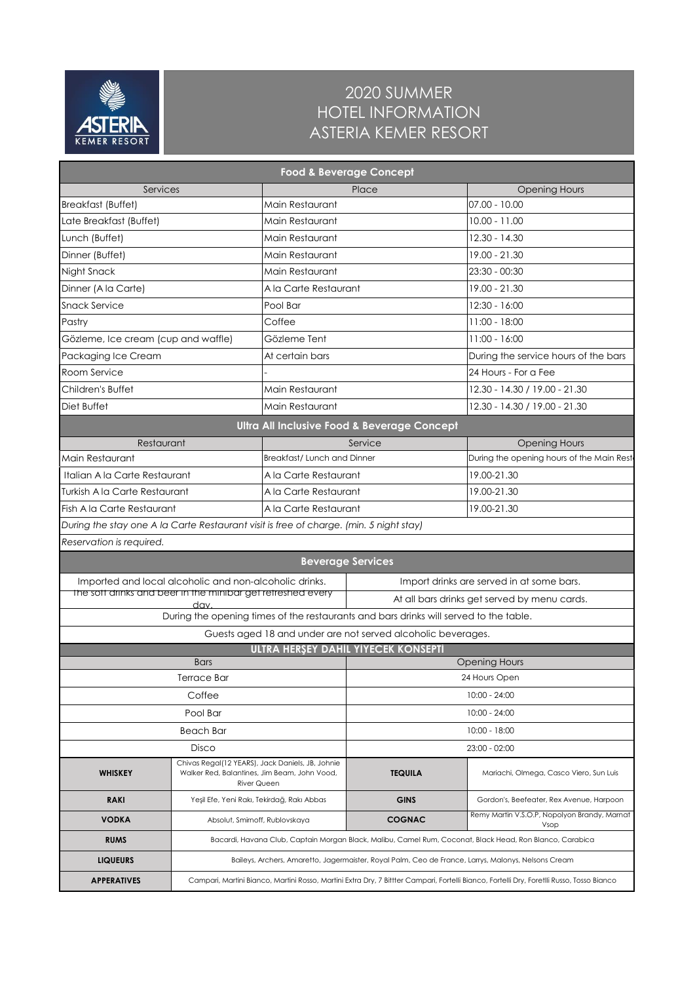

## 2020 SUMMER HOTEL INFORMATION ASTERIA KEMER RESORT

| <b>Food &amp; Beverage Concept</b>                                                     |                                                                                                                                           |                                                                    |                                                              |                                                      |  |  |  |  |  |
|----------------------------------------------------------------------------------------|-------------------------------------------------------------------------------------------------------------------------------------------|--------------------------------------------------------------------|--------------------------------------------------------------|------------------------------------------------------|--|--|--|--|--|
| Services                                                                               |                                                                                                                                           |                                                                    | Place                                                        | <b>Opening Hours</b>                                 |  |  |  |  |  |
| <b>Breakfast (Buffet)</b>                                                              |                                                                                                                                           | Main Restaurant                                                    |                                                              | 07.00 - 10.00                                        |  |  |  |  |  |
| Late Breakfast (Buffet)                                                                |                                                                                                                                           | Main Restaurant                                                    |                                                              | $10.00 - 11.00$                                      |  |  |  |  |  |
| Lunch (Buffet)                                                                         |                                                                                                                                           | Main Restaurant                                                    |                                                              | $12.30 - 14.30$                                      |  |  |  |  |  |
| Dinner (Buffet)                                                                        |                                                                                                                                           | Main Restaurant                                                    |                                                              | 19.00 - 21.30                                        |  |  |  |  |  |
| Night Snack                                                                            |                                                                                                                                           | Main Restaurant                                                    |                                                              | $23:30 - 00:30$                                      |  |  |  |  |  |
| Dinner (A la Carte)                                                                    |                                                                                                                                           | A la Carte Restaurant                                              |                                                              | 19.00 - 21.30                                        |  |  |  |  |  |
| <b>Snack Service</b>                                                                   |                                                                                                                                           | Pool Bar                                                           |                                                              | 12:30 - 16:00                                        |  |  |  |  |  |
| Pastry                                                                                 |                                                                                                                                           | Coffee                                                             |                                                              | 11:00 - 18:00                                        |  |  |  |  |  |
| Gözleme, Ice cream (cup and waffle)                                                    |                                                                                                                                           | Gözleme Tent                                                       |                                                              | $11:00 - 16:00$                                      |  |  |  |  |  |
| Packaging Ice Cream                                                                    |                                                                                                                                           | At certain bars                                                    |                                                              | During the service hours of the bars                 |  |  |  |  |  |
| Room Service                                                                           |                                                                                                                                           |                                                                    |                                                              | 24 Hours - For a Fee                                 |  |  |  |  |  |
| Children's Buffet                                                                      |                                                                                                                                           | Main Restaurant                                                    |                                                              | 12.30 - 14.30 / 19.00 - 21.30                        |  |  |  |  |  |
| Diet Buffet                                                                            |                                                                                                                                           | Main Restaurant                                                    |                                                              | 12.30 - 14.30 / 19.00 - 21.30                        |  |  |  |  |  |
|                                                                                        |                                                                                                                                           |                                                                    | Ultra All Inclusive Food & Beverage Concept                  |                                                      |  |  |  |  |  |
| Restaurant                                                                             |                                                                                                                                           |                                                                    | Service                                                      | <b>Opening Hours</b>                                 |  |  |  |  |  |
| Main Restaurant                                                                        |                                                                                                                                           | Breakfast/Lunch and Dinner                                         |                                                              | During the opening hours of the Main Rest            |  |  |  |  |  |
| Italian A la Carte Restaurant                                                          |                                                                                                                                           | A la Carte Restaurant                                              |                                                              | 19.00-21.30                                          |  |  |  |  |  |
| Turkish A la Carte Restaurant                                                          |                                                                                                                                           | A la Carte Restaurant                                              |                                                              | 19.00-21.30                                          |  |  |  |  |  |
| Fish A la Carte Restaurant                                                             |                                                                                                                                           | A la Carte Restaurant                                              |                                                              | 19.00-21.30                                          |  |  |  |  |  |
| During the stay one A la Carte Restaurant visit is free of charge. (min. 5 night stay) |                                                                                                                                           |                                                                    |                                                              |                                                      |  |  |  |  |  |
| Reservation is required.                                                               |                                                                                                                                           |                                                                    |                                                              |                                                      |  |  |  |  |  |
|                                                                                        |                                                                                                                                           |                                                                    |                                                              |                                                      |  |  |  |  |  |
| <b>Beverage Services</b><br>Imported and local alcoholic and non-alcoholic drinks.     |                                                                                                                                           |                                                                    |                                                              |                                                      |  |  |  |  |  |
| The soft drinks and beer in the minibar get retreshed every                            |                                                                                                                                           |                                                                    |                                                              | Import drinks are served in at some bars.            |  |  |  |  |  |
|                                                                                        | dav                                                                                                                                       |                                                                    |                                                              | At all bars drinks get served by menu cards.         |  |  |  |  |  |
| During the opening times of the restaurants and bars drinks will served to the table.  |                                                                                                                                           |                                                                    |                                                              |                                                      |  |  |  |  |  |
|                                                                                        |                                                                                                                                           |                                                                    | Guests aged 18 and under are not served alcoholic beverages. |                                                      |  |  |  |  |  |
|                                                                                        | <b>Bars</b>                                                                                                                               |                                                                    | ULTRA HERŞEY DAHİL YİYECEK KONSEPTİ                          | <b>Opening Hours</b>                                 |  |  |  |  |  |
|                                                                                        | <b>Terrace Bar</b>                                                                                                                        |                                                                    | 24 Hours Open                                                |                                                      |  |  |  |  |  |
|                                                                                        | Coffee                                                                                                                                    |                                                                    | $10:00 - 24:00$                                              |                                                      |  |  |  |  |  |
|                                                                                        | Pool Bar                                                                                                                                  |                                                                    | $10:00 - 24:00$                                              |                                                      |  |  |  |  |  |
|                                                                                        | <b>Beach Bar</b>                                                                                                                          |                                                                    |                                                              |                                                      |  |  |  |  |  |
|                                                                                        |                                                                                                                                           |                                                                    | $10:00 - 18:00$                                              |                                                      |  |  |  |  |  |
|                                                                                        | Disco                                                                                                                                     | Chivas Regal(12 YEARS), Jack Daniels, JB, Johnie                   |                                                              | $23:00 - 02:00$                                      |  |  |  |  |  |
| <b>WHISKEY</b>                                                                         |                                                                                                                                           | Walker Red, Balantines, Jim Beam, John Vood,<br><b>River Queen</b> | <b>TEQUILA</b>                                               | Mariachi, Olmega, Casco Viero, Sun Luis              |  |  |  |  |  |
| <b>RAKI</b>                                                                            |                                                                                                                                           | Yeşil Efe, Yeni Rakı, Tekirdağ, Rakı Abbas                         | <b>GINS</b>                                                  | Gordon's, Beefeater, Rex Avenue, Harpoon             |  |  |  |  |  |
| <b>VODKA</b>                                                                           |                                                                                                                                           | Absolut, Smirnoff, Rublovskaya                                     | <b>COGNAC</b>                                                | Remy Martin V.S.O.P, Nopolyon Brandy, Marnat<br>Vsop |  |  |  |  |  |
| <b>RUMS</b>                                                                            | Bacardi, Havana Club, Captain Morgan Black, Malibu, Camel Rum, Coconat, Black Head, Ron Blanco, Carabica                                  |                                                                    |                                                              |                                                      |  |  |  |  |  |
| <b>LIQUEURS</b>                                                                        | Baileys, Archers, Amaretto, Jagermaister, Royal Palm, Ceo de France, Larrys, Malonys, Nelsons Cream                                       |                                                                    |                                                              |                                                      |  |  |  |  |  |
| <b>APPERATIVES</b>                                                                     | Campari, Martini Bianco, Martini Rosso, Martini Extra Dry, 7 Bittter Campari, Fortelli Bianco, Fortelli Dry, Foretlli Russo, Tosso Bianco |                                                                    |                                                              |                                                      |  |  |  |  |  |